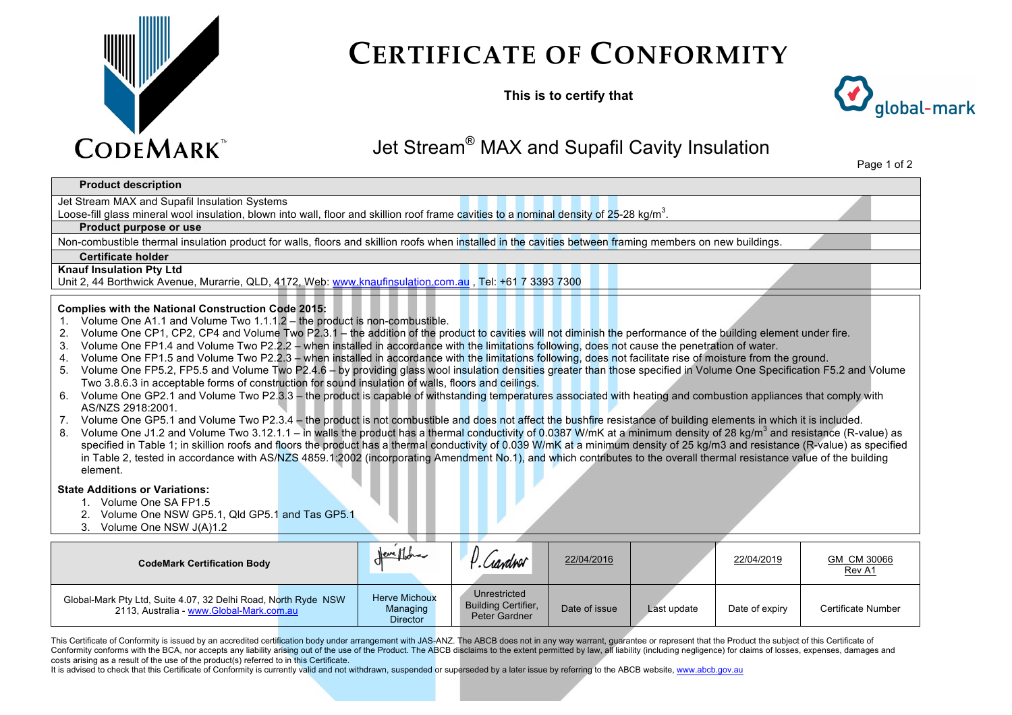

# **CERTIFICATE OF CONFORMITY**

**This is to certify that**



# Jet Stream® MAX and Supafil Cavity Insulation

Page 1 of 2

### **Product description**

Jet Stream MAX and Supafil Insulation Systems

Loose-fill glass mineral wool insulation, blown into wall, floor and skillion roof frame cavities to a nominal density of 25-28 kg/m<sup>3</sup>.

#### **Product purpose or use**

Non-combustible thermal insulation product for walls, floors and skillion roofs when installed in the cavities between framing members on new buildings.

#### **Certificate holder**

#### **Knauf Insulation Pty Ltd**

Unit 2, 44 Borthwick Avenue, Murarrie, QLD, 4172, Web: www.knaufinsulation.com.au , Tel: +61 7 3393 7300

#### **Complies with the National Construction Code 2015:**

- 1. Volume One A1.1 and Volume Two 1.1.1.2 the product is non-combustible.
- 2. Volume One CP1, CP2, CP4 and Volume Two P2.3.1 the addition of the product to cavities will not diminish the performance of the building element under fire.
- 3. Volume One FP1.4 and Volume Two P2.2.2 when installed in accordance with the limitations following, does not cause the penetration of water.
- 4. Volume One FP1.5 and Volume Two P2.2.3 when installed in accordance with the limitations following, does not facilitate rise of moisture from the ground.
- 5. Volume One FP5.2, FP5.5 and Volume Two P2.4.6 by providing glass wool insulation densities greater than those specified in Volume One Specification F5.2 and Volume Two 3.8.6.3 in acceptable forms of construction for sound insulation of walls, floors and ceilings.
- 6. Volume One GP2.1 and Volume Two P2.3.3 the product is capable of withstanding temperatures associated with heating and combustion appliances that comply with AS/NZS 2918:2001.
- 7. Volume One GP5.1 and Volume Two P2.3.4 the product is not combustible and does not affect the bushfire resistance of building elements in which it is included.
- 8. Volume One J1.2 and Volume Two 3.12.1.1 in walls the product has a thermal conductivity of 0.0387 W/mK at a minimum density of 28 kg/m<sup>3</sup> and resistance (R-value) as specified in Table 1; in skillion roofs and floors the product has a thermal conductivity of 0.039 W/mK at a minimum density of 25 kg/m3 and resistance (R-value) as specified in Table 2, tested in accordance with AS/NZS 4859.1:2002 (incorporating Amendment No.1), and which contributes to the overall thermal resistance value of the building element.

#### **State Additions or Variations:**

- 1. Volume One SA FP1.5
- 2. Volume One NSW GP5.1, Qld GP5.1 and Tas GP5.1
- 3. Volume One NSW J(A)1.2

| <b>CodeMark Certification Body</b>                                                                         | <u>Jeneff</u> ora                                   | Ciandoor.                                                   | 22/04/2016    |             | 22/04/2019     | GM CM 30066<br>Rev A1 |
|------------------------------------------------------------------------------------------------------------|-----------------------------------------------------|-------------------------------------------------------------|---------------|-------------|----------------|-----------------------|
| Global-Mark Pty Ltd, Suite 4.07, 32 Delhi Road, North Ryde NSW<br>2113, Australia - www.Global-Mark.com.au | <b>Herve Michoux</b><br>Managing<br><b>Director</b> | Unrestricted<br><b>Building Certifier,</b><br>Peter Gardner | Date of issue | Last update | Date of expiry | Certificate Number    |

This Certificate of Conformity is issued by an accredited certification body under arrangement with JAS-ANZ. The ABCB does not in any way warrant, quarantee or represent that the Product the subject of this Certificate of Conformity conforms with the BCA, nor accepts any liability arising out of the use of the Product. The ABCB disclaims to the extent permitted by law, all liability (including negligence) for claims of losses, expenses, dam costs arising as a result of the use of the product(s) referred to in this Certificate.

It is advised to check that this Certificate of Conformity is currently valid and not withdrawn, suspended or superseded by a later issue by referring to the ABCB website, www.abcb.gov.au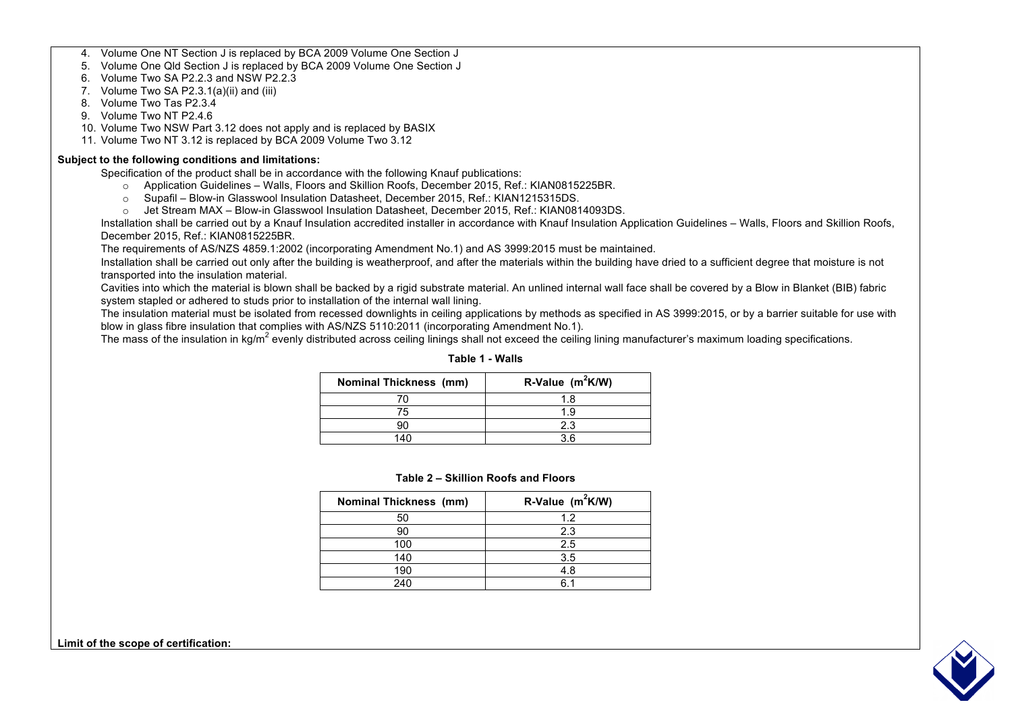4. Volume One NT Section J is replaced by BCA 2009 Volume One Section J

5. Volume One Qld Section J is replaced by BCA 2009 Volume One Section J

6. Volume Two SA P2.2.3 and NSW P2.2.3

7. Volume Two SA P2.3.1(a)(ii) and (iii)

- 8. Volume Two Tas P2.3.4
- 9. Volume Two NT P2.4.6
- 10. Volume Two NSW Part 3.12 does not apply and is replaced by BASIX
- 11. Volume Two NT 3.12 is replaced by BCA 2009 Volume Two 3.12

## **Subject to the following conditions and limitations:**

Specification of the product shall be in accordance with the following Knauf publications:

- o Application Guidelines Walls, Floors and Skillion Roofs, December 2015, Ref.: KIAN0815225BR.
- o Supafil Blow-in Glasswool Insulation Datasheet, December 2015, Ref.: KIAN1215315DS.
- o Jet Stream MAX Blow-in Glasswool Insulation Datasheet, December 2015, Ref.: KIAN0814093DS.

 Installation shall be carried out by a Knauf Insulation accredited installer in accordance with Knauf Insulation Application Guidelines – Walls, Floors and Skillion Roofs, December 2015, Ref.: KIAN0815225BR.

The requirements of AS/NZS 4859.1:2002 (incorporating Amendment No.1) and AS 3999:2015 must be maintained.

 Installation shall be carried out only after the building is weatherproof, and after the materials within the building have dried to a sufficient degree that moisture is not transported into the insulation material.

 Cavities into which the material is blown shall be backed by a rigid substrate material. An unlined internal wall face shall be covered by a Blow in Blanket (BIB) fabric system stapled or adhered to studs prior to installation of the internal wall lining.

 The insulation material must be isolated from recessed downlights in ceiling applications by methods as specified in AS 3999:2015, or by a barrier suitable for use with blow in glass fibre insulation that complies with AS/NZS 5110:2011 (incorporating Amendment No.1).

The mass of the insulation in kg/m<sup>2</sup> evenly distributed across ceiling linings shall not exceed the ceiling lining manufacturer's maximum loading specifications.

| <b>Nominal Thickness (mm)</b> | R-Value $(m^2K/W)$ |
|-------------------------------|--------------------|
|                               | 1.8                |
| 75                            | 1.9                |
|                               | 2.3                |
|                               | 3 ค                |

#### **Table 1 - Walls**

#### **Table 2 – Skillion Roofs and Floors**

| <b>Nominal Thickness (mm)</b> | R-Value $(m^2K/W)$ |
|-------------------------------|--------------------|
| 50                            | 1.2                |
| 90                            | 2.3                |
| 100                           | 2.5                |
| 140                           | 3.5                |
| 190                           | 4.8                |
| 240                           | R 1                |



**Limit of the scope of certification:**